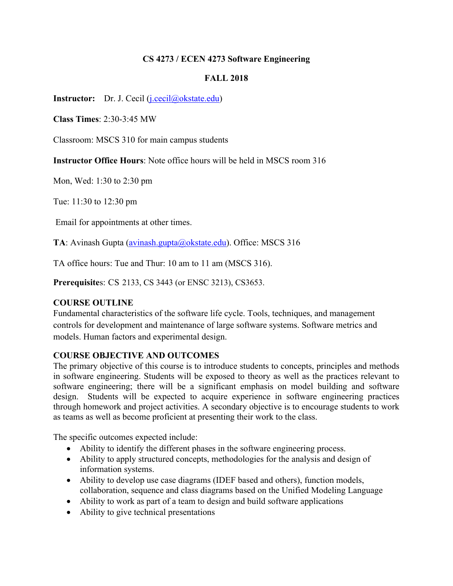## **CS 4273 / ECEN 4273 Software Engineering**

## **FALL 2018**

**Instructor:** Dr. J. Cecil (j.cecil@okstate.edu)

**Class Times**: 2:30-3:45 MW

Classroom: MSCS 310 for main campus students

**Instructor Office Hours**: Note office hours will be held in MSCS room 316

Mon, Wed: 1:30 to 2:30 pm

Tue: 11:30 to 12:30 pm

Email for appointments at other times.

**TA**: Avinash Gupta (avinash.gupta@okstate.edu). Office: MSCS 316

TA office hours: Tue and Thur: 10 am to 11 am (MSCS 316).

**Prerequisite**s: CS 2133, CS 3443 (or ENSC 3213), CS3653.

## **COURSE OUTLINE**

Fundamental characteristics of the software life cycle. Tools, techniques, and management controls for development and maintenance of large software systems. Software metrics and models. Human factors and experimental design.

## **COURSE OBJECTIVE AND OUTCOMES**

The primary objective of this course is to introduce students to concepts, principles and methods in software engineering. Students will be exposed to theory as well as the practices relevant to software engineering; there will be a significant emphasis on model building and software design. Students will be expected to acquire experience in software engineering practices through homework and project activities. A secondary objective is to encourage students to work as teams as well as become proficient at presenting their work to the class.

The specific outcomes expected include:

- Ability to identify the different phases in the software engineering process.
- Ability to apply structured concepts, methodologies for the analysis and design of information systems.
- Ability to develop use case diagrams (IDEF based and others), function models, collaboration, sequence and class diagrams based on the Unified Modeling Language
- Ability to work as part of a team to design and build software applications
- Ability to give technical presentations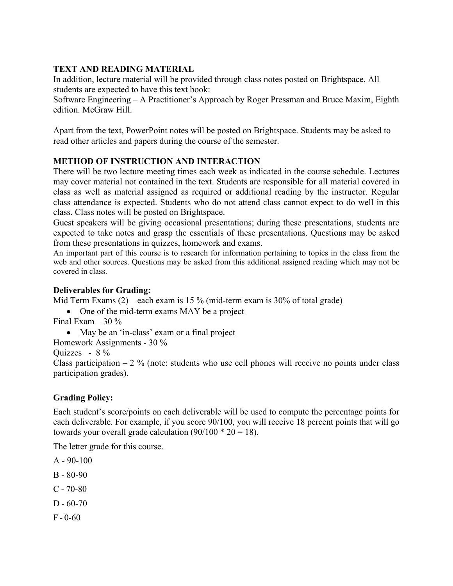## **TEXT AND READING MATERIAL**

In addition, lecture material will be provided through class notes posted on Brightspace. All students are expected to have this text book:

Software Engineering – A Practitioner's Approach by Roger Pressman and Bruce Maxim, Eighth edition. McGraw Hill.

Apart from the text, PowerPoint notes will be posted on Brightspace. Students may be asked to read other articles and papers during the course of the semester.

## **METHOD OF INSTRUCTION AND INTERACTION**

There will be two lecture meeting times each week as indicated in the course schedule. Lectures may cover material not contained in the text. Students are responsible for all material covered in class as well as material assigned as required or additional reading by the instructor. Regular class attendance is expected. Students who do not attend class cannot expect to do well in this class. Class notes will be posted on Brightspace.

Guest speakers will be giving occasional presentations; during these presentations, students are expected to take notes and grasp the essentials of these presentations. Questions may be asked from these presentations in quizzes, homework and exams.

An important part of this course is to research for information pertaining to topics in the class from the web and other sources. Questions may be asked from this additional assigned reading which may not be covered in class.

## **Deliverables for Grading:**

Mid Term Exams  $(2)$  – each exam is 15 % (mid-term exam is 30% of total grade)

- One of the mid-term exams MAY be a project Final Exam  $-30\%$ 
	- May be an 'in-class' exam or a final project
- Homework Assignments 30 %

Quizzes - 8 %

Class participation  $-2\%$  (note: students who use cell phones will receive no points under class participation grades).

## **Grading Policy:**

Each student's score/points on each deliverable will be used to compute the percentage points for each deliverable. For example, if you score 90/100, you will receive 18 percent points that will go towards your overall grade calculation  $(90/100 * 20 = 18)$ .

The letter grade for this course.

 $A - 90 - 100$ 

- $B 80 90$
- $C 70-80$
- $D 60 70$
- $F 0-60$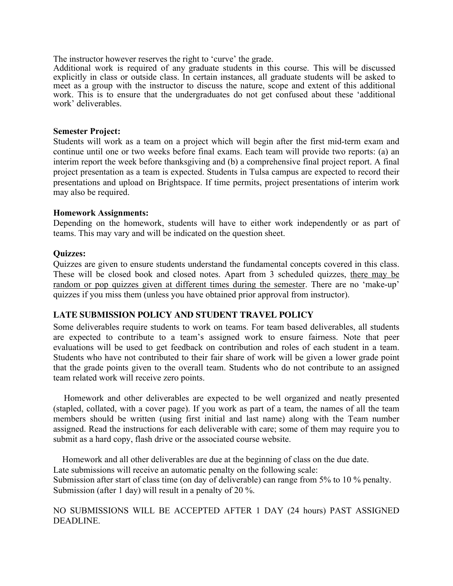The instructor however reserves the right to 'curve' the grade.

Additional work is required of any graduate students in this course. This will be discussed explicitly in class or outside class. In certain instances, all graduate students will be asked to meet as a group with the instructor to discuss the nature, scope and extent of this additional work. This is to ensure that the undergraduates do not get confused about these 'additional work' deliverables.

#### **Semester Project:**

Students will work as a team on a project which will begin after the first mid-term exam and continue until one or two weeks before final exams. Each team will provide two reports: (a) an interim report the week before thanksgiving and (b) a comprehensive final project report. A final project presentation as a team is expected. Students in Tulsa campus are expected to record their presentations and upload on Brightspace. If time permits, project presentations of interim work may also be required.

#### **Homework Assignments:**

Depending on the homework, students will have to either work independently or as part of teams. This may vary and will be indicated on the question sheet.

#### **Quizzes:**

Quizzes are given to ensure students understand the fundamental concepts covered in this class. These will be closed book and closed notes. Apart from 3 scheduled quizzes, there may be random or pop quizzes given at different times during the semester. There are no 'make-up' quizzes if you miss them (unless you have obtained prior approval from instructor).

#### **LATE SUBMISSION POLICY AND STUDENT TRAVEL POLICY**

Some deliverables require students to work on teams. For team based deliverables, all students are expected to contribute to a team's assigned work to ensure fairness. Note that peer evaluations will be used to get feedback on contribution and roles of each student in a team. Students who have not contributed to their fair share of work will be given a lower grade point that the grade points given to the overall team. Students who do not contribute to an assigned team related work will receive zero points.

 Homework and other deliverables are expected to be well organized and neatly presented (stapled, collated, with a cover page). If you work as part of a team, the names of all the team members should be written (using first initial and last name) along with the Team number assigned. Read the instructions for each deliverable with care; some of them may require you to submit as a hard copy, flash drive or the associated course website.

 Homework and all other deliverables are due at the beginning of class on the due date. Late submissions will receive an automatic penalty on the following scale: Submission after start of class time (on day of deliverable) can range from 5% to 10 % penalty. Submission (after 1 day) will result in a penalty of 20 %.

NO SUBMISSIONS WILL BE ACCEPTED AFTER 1 DAY (24 hours) PAST ASSIGNED DEADLINE.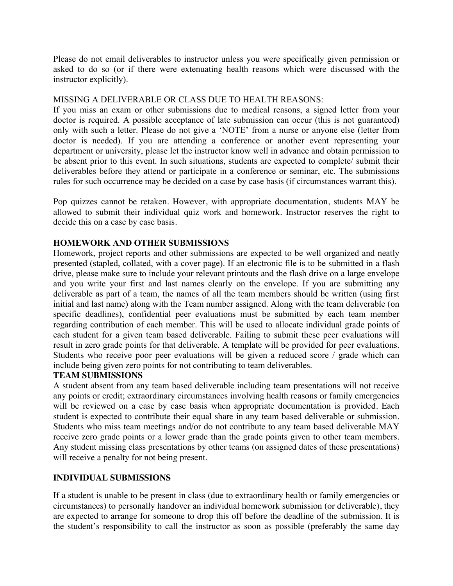Please do not email deliverables to instructor unless you were specifically given permission or asked to do so (or if there were extenuating health reasons which were discussed with the instructor explicitly).

### MISSING A DELIVERABLE OR CLASS DUE TO HEALTH REASONS:

If you miss an exam or other submissions due to medical reasons, a signed letter from your doctor is required. A possible acceptance of late submission can occur (this is not guaranteed) only with such a letter. Please do not give a 'NOTE' from a nurse or anyone else (letter from doctor is needed). If you are attending a conference or another event representing your department or university, please let the instructor know well in advance and obtain permission to be absent prior to this event. In such situations, students are expected to complete/ submit their deliverables before they attend or participate in a conference or seminar, etc. The submissions rules for such occurrence may be decided on a case by case basis (if circumstances warrant this).

Pop quizzes cannot be retaken. However, with appropriate documentation, students MAY be allowed to submit their individual quiz work and homework. Instructor reserves the right to decide this on a case by case basis.

### **HOMEWORK AND OTHER SUBMISSIONS**

Homework, project reports and other submissions are expected to be well organized and neatly presented (stapled, collated, with a cover page). If an electronic file is to be submitted in a flash drive, please make sure to include your relevant printouts and the flash drive on a large envelope and you write your first and last names clearly on the envelope. If you are submitting any deliverable as part of a team, the names of all the team members should be written (using first initial and last name) along with the Team number assigned. Along with the team deliverable (on specific deadlines), confidential peer evaluations must be submitted by each team member regarding contribution of each member. This will be used to allocate individual grade points of each student for a given team based deliverable. Failing to submit these peer evaluations will result in zero grade points for that deliverable. A template will be provided for peer evaluations. Students who receive poor peer evaluations will be given a reduced score / grade which can include being given zero points for not contributing to team deliverables.

### **TEAM SUBMISSIONS**

A student absent from any team based deliverable including team presentations will not receive any points or credit; extraordinary circumstances involving health reasons or family emergencies will be reviewed on a case by case basis when appropriate documentation is provided. Each student is expected to contribute their equal share in any team based deliverable or submission. Students who miss team meetings and/or do not contribute to any team based deliverable MAY receive zero grade points or a lower grade than the grade points given to other team members. Any student missing class presentations by other teams (on assigned dates of these presentations) will receive a penalty for not being present.

### **INDIVIDUAL SUBMISSIONS**

If a student is unable to be present in class (due to extraordinary health or family emergencies or circumstances) to personally handover an individual homework submission (or deliverable), they are expected to arrange for someone to drop this off before the deadline of the submission. It is the student's responsibility to call the instructor as soon as possible (preferably the same day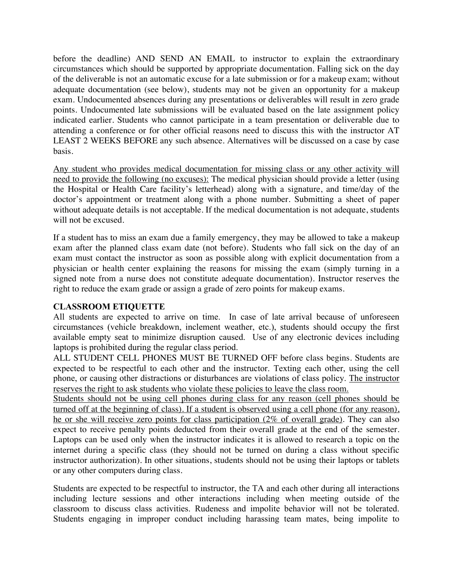before the deadline) AND SEND AN EMAIL to instructor to explain the extraordinary circumstances which should be supported by appropriate documentation. Falling sick on the day of the deliverable is not an automatic excuse for a late submission or for a makeup exam; without adequate documentation (see below), students may not be given an opportunity for a makeup exam. Undocumented absences during any presentations or deliverables will result in zero grade points. Undocumented late submissions will be evaluated based on the late assignment policy indicated earlier. Students who cannot participate in a team presentation or deliverable due to attending a conference or for other official reasons need to discuss this with the instructor AT LEAST 2 WEEKS BEFORE any such absence. Alternatives will be discussed on a case by case basis.

Any student who provides medical documentation for missing class or any other activity will need to provide the following (no excuses): The medical physician should provide a letter (using the Hospital or Health Care facility's letterhead) along with a signature, and time/day of the doctor's appointment or treatment along with a phone number. Submitting a sheet of paper without adequate details is not acceptable. If the medical documentation is not adequate, students will not be excused.

If a student has to miss an exam due a family emergency, they may be allowed to take a makeup exam after the planned class exam date (not before). Students who fall sick on the day of an exam must contact the instructor as soon as possible along with explicit documentation from a physician or health center explaining the reasons for missing the exam (simply turning in a signed note from a nurse does not constitute adequate documentation). Instructor reserves the right to reduce the exam grade or assign a grade of zero points for makeup exams.

### **CLASSROOM ETIQUETTE**

All students are expected to arrive on time. In case of late arrival because of unforeseen circumstances (vehicle breakdown, inclement weather, etc.), students should occupy the first available empty seat to minimize disruption caused. Use of any electronic devices including laptops is prohibited during the regular class period.

ALL STUDENT CELL PHONES MUST BE TURNED OFF before class begins. Students are expected to be respectful to each other and the instructor. Texting each other, using the cell phone, or causing other distractions or disturbances are violations of class policy. The instructor reserves the right to ask students who violate these policies to leave the class room.

Students should not be using cell phones during class for any reason (cell phones should be turned off at the beginning of class). If a student is observed using a cell phone (for any reason), he or she will receive zero points for class participation (2% of overall grade). They can also expect to receive penalty points deducted from their overall grade at the end of the semester. Laptops can be used only when the instructor indicates it is allowed to research a topic on the internet during a specific class (they should not be turned on during a class without specific instructor authorization). In other situations, students should not be using their laptops or tablets or any other computers during class.

Students are expected to be respectful to instructor, the TA and each other during all interactions including lecture sessions and other interactions including when meeting outside of the classroom to discuss class activities. Rudeness and impolite behavior will not be tolerated. Students engaging in improper conduct including harassing team mates, being impolite to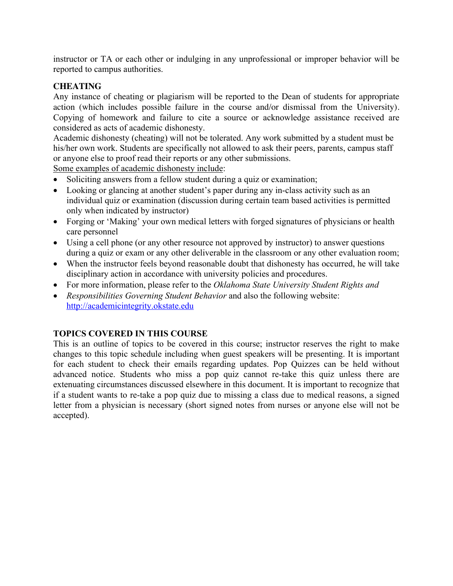instructor or TA or each other or indulging in any unprofessional or improper behavior will be reported to campus authorities.

## **CHEATING**

Any instance of cheating or plagiarism will be reported to the Dean of students for appropriate action (which includes possible failure in the course and/or dismissal from the University). Copying of homework and failure to cite a source or acknowledge assistance received are considered as acts of academic dishonesty.

Academic dishonesty (cheating) will not be tolerated. Any work submitted by a student must be his/her own work. Students are specifically not allowed to ask their peers, parents, campus staff or anyone else to proof read their reports or any other submissions.

Some examples of academic dishonesty include:

- Soliciting answers from a fellow student during a quiz or examination;
- Looking or glancing at another student's paper during any in-class activity such as an individual quiz or examination (discussion during certain team based activities is permitted only when indicated by instructor)
- Forging or 'Making' your own medical letters with forged signatures of physicians or health care personnel
- Using a cell phone (or any other resource not approved by instructor) to answer questions during a quiz or exam or any other deliverable in the classroom or any other evaluation room;
- When the instructor feels beyond reasonable doubt that dishonesty has occurred, he will take disciplinary action in accordance with university policies and procedures.
- For more information, please refer to the *Oklahoma State University Student Rights and*
- *Responsibilities Governing Student Behavior* and also the following website: http://academicintegrity.okstate.edu

# **TOPICS COVERED IN THIS COURSE**

This is an outline of topics to be covered in this course; instructor reserves the right to make changes to this topic schedule including when guest speakers will be presenting. It is important for each student to check their emails regarding updates. Pop Quizzes can be held without advanced notice. Students who miss a pop quiz cannot re-take this quiz unless there are extenuating circumstances discussed elsewhere in this document. It is important to recognize that if a student wants to re-take a pop quiz due to missing a class due to medical reasons, a signed letter from a physician is necessary (short signed notes from nurses or anyone else will not be accepted).